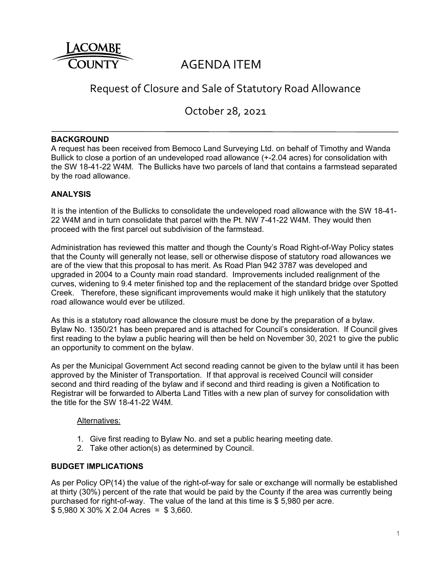

# AGENDA ITEM

## Request of Closure and Sale of Statutory Road Allowance

October 28, 2021

## **BACKGROUND**

A request has been received from Bemoco Land Surveying Ltd. on behalf of Timothy and Wanda Bullick to close a portion of an undeveloped road allowance (+-2.04 acres) for consolidation with the SW 18-41-22 W4M. The Bullicks have two parcels of land that contains a farmstead separated by the road allowance.

## **ANALYSIS**

It is the intention of the Bullicks to consolidate the undeveloped road allowance with the SW 18-41- 22 W4M and in turn consolidate that parcel with the Pt. NW 7-41-22 W4M. They would then proceed with the first parcel out subdivision of the farmstead.

Administration has reviewed this matter and though the County's Road Right-of-Way Policy states that the County will generally not lease, sell or otherwise dispose of statutory road allowances we are of the view that this proposal to has merit. As Road Plan 942 3787 was developed and upgraded in 2004 to a County main road standard. Improvements included realignment of the curves, widening to 9.4 meter finished top and the replacement of the standard bridge over Spotted Creek. Therefore, these significant improvements would make it high unlikely that the statutory road allowance would ever be utilized.

As this is a statutory road allowance the closure must be done by the preparation of a bylaw. Bylaw No. 1350/21 has been prepared and is attached for Council's consideration. If Council gives first reading to the bylaw a public hearing will then be held on November 30, 2021 to give the public an opportunity to comment on the bylaw.

As per the Municipal Government Act second reading cannot be given to the bylaw until it has been approved by the Minister of Transportation. If that approval is received Council will consider second and third reading of the bylaw and if second and third reading is given a Notification to Registrar will be forwarded to Alberta Land Titles with a new plan of survey for consolidation with the title for the SW 18-41-22 W4M.

#### Alternatives:

- 1. Give first reading to Bylaw No. and set a public hearing meeting date.
- 2. Take other action(s) as determined by Council.

## **BUDGET IMPLICATIONS**

As per Policy OP(14) the value of the right-of-way for sale or exchange will normally be established at thirty (30%) percent of the rate that would be paid by the County if the area was currently being purchased for right-of-way. The value of the land at this time is \$ 5,980 per acre.  $$5,980$  X 30% X 2.04 Acres = \$3,660.